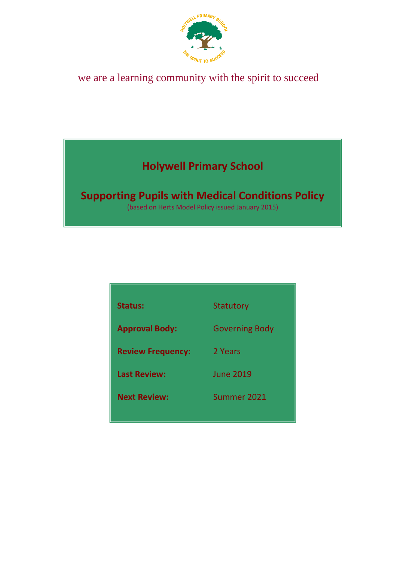

## we are a learning community with the spirit to succeed

## **Holywell Primary School**

# **Supporting Pupils with Medical Conditions Policy**

(based on Herts Model Policy issued January 2015)

| <b>Status:</b>           | <b>Statutory</b>      |
|--------------------------|-----------------------|
| <b>Approval Body:</b>    | <b>Governing Body</b> |
| <b>Review Frequency:</b> | 2 Years               |
| <b>Last Review:</b>      | <b>June 2019</b>      |
| <b>Next Review:</b>      | Summer 2021           |
|                          |                       |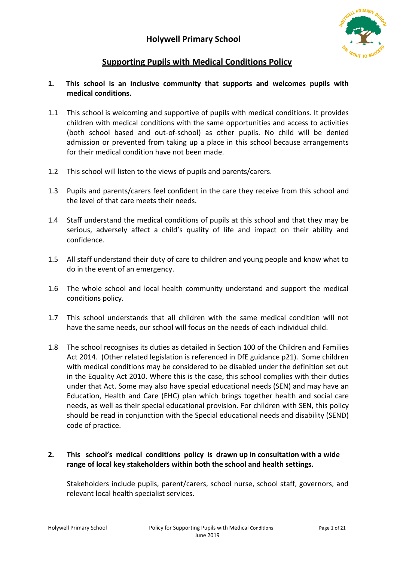

## **Supporting Pupils with Medical Conditions Policy**

#### **1. This school is an inclusive community that supports and welcomes pupils with medical conditions.**

- 1.1 This school is welcoming and supportive of pupils with medical conditions. It provides children with medical conditions with the same opportunities and access to activities (both school based and out-of-school) as other pupils. No child will be denied admission or prevented from taking up a place in this school because arrangements for their medical condition have not been made.
- 1.2 This school will listen to the views of pupils and parents/carers.
- 1.3 Pupils and parents/carers feel confident in the care they receive from this school and the level of that care meets their needs.
- 1.4 Staff understand the medical conditions of pupils at this school and that they may be serious, adversely affect a child's quality of life and impact on their ability and confidence.
- 1.5 All staff understand their duty of care to children and young people and know what to do in the event of an emergency.
- 1.6 The whole school and local health community understand and support the medical conditions policy.
- 1.7 This school understands that all children with the same medical condition will not have the same needs, our school will focus on the needs of each individual child.
- 1.8 The school recognises its duties as detailed in Section 100 of the Children and Families Act 2014. (Other related legislation is referenced in DfE guidance p21). Some children with medical conditions may be considered to be disabled under the definition set out in the Equality Act 2010. Where this is the case, this school complies with their duties under that Act. Some may also have special educational needs (SEN) and may have an Education, Health and Care (EHC) plan which brings together health and social care needs, as well as their special educational provision. For children with SEN, this policy should be read in conjunction with the Special educational needs and disability (SEND) code of practice.

#### **2. This school's medical conditions policy is drawn up in consultation with a wide range of local key stakeholders within both the school and health settings.**

Stakeholders include pupils, parent/carers, school nurse, school staff, governors, and relevant local health specialist services.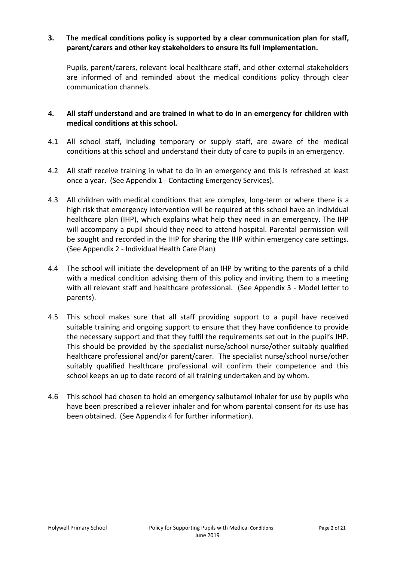#### **3. The medical conditions policy is supported by a clear communication plan for staff, parent/carers and other key stakeholders to ensure its full implementation.**

Pupils, parent/carers, relevant local healthcare staff, and other external stakeholders are informed of and reminded about the medical conditions policy through clear communication channels.

#### **4. All staff understand and are trained in what to do in an emergency for children with medical conditions at this school.**

- 4.1 All school staff, including temporary or supply staff, are aware of the medical conditions at this school and understand their duty of care to pupils in an emergency.
- 4.2 All staff receive training in what to do in an emergency and this is refreshed at least once a year. (See Appendix 1 - Contacting Emergency Services).
- 4.3 All children with medical conditions that are complex, long-term or where there is a high risk that emergency intervention will be required at this school have an individual healthcare plan (IHP), which explains what help they need in an emergency. The IHP will accompany a pupil should they need to attend hospital. Parental permission will be sought and recorded in the IHP for sharing the IHP within emergency care settings. (See Appendix 2 - Individual Health Care Plan)
- 4.4 The school will initiate the development of an IHP by writing to the parents of a child with a medical condition advising them of this policy and inviting them to a meeting with all relevant staff and healthcare professional. (See Appendix 3 - Model letter to parents).
- 4.5 This school makes sure that all staff providing support to a pupil have received suitable training and ongoing support to ensure that they have confidence to provide the necessary support and that they fulfil the requirements set out in the pupil's IHP. This should be provided by the specialist nurse/school nurse/other suitably qualified healthcare professional and/or parent/carer. The specialist nurse/school nurse/other suitably qualified healthcare professional will confirm their competence and this school keeps an up to date record of all training undertaken and by whom.
- 4.6 This school had chosen to hold an emergency salbutamol inhaler for use by pupils who have been prescribed a reliever inhaler and for whom parental consent for its use has been obtained. (See Appendix 4 for further information).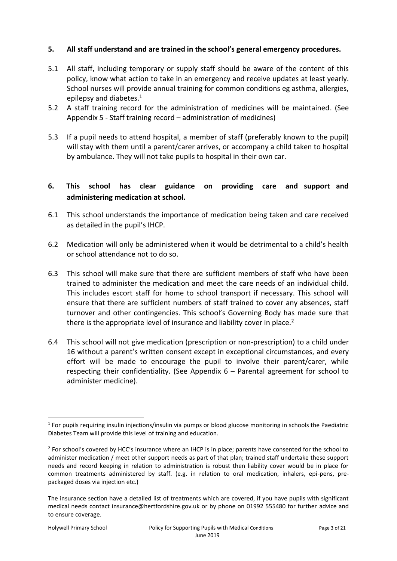#### **5. All staff understand and are trained in the school's general emergency procedures.**

- 5.1 All staff, including temporary or supply staff should be aware of the content of this policy, know what action to take in an emergency and receive updates at least yearly. School nurses will provide annual training for common conditions eg asthma, allergies, epilepsy and diabetes.<sup>1</sup>
- 5.2 A staff training record for the administration of medicines will be maintained. (See Appendix 5 - Staff training record – administration of medicines)
- 5.3 If a pupil needs to attend hospital, a member of staff (preferably known to the pupil) will stay with them until a parent/carer arrives, or accompany a child taken to hospital by ambulance. They will not take pupils to hospital in their own car.

#### **6. This school has clear guidance on providing care and support and administering medication at school.**

- 6.1 This school understands the importance of medication being taken and care received as detailed in the pupil's IHCP.
- 6.2 Medication will only be administered when it would be detrimental to a child's health or school attendance not to do so.
- 6.3 This school will make sure that there are sufficient members of staff who have been trained to administer the medication and meet the care needs of an individual child. This includes escort staff for home to school transport if necessary. This school will ensure that there are sufficient numbers of staff trained to cover any absences, staff turnover and other contingencies. This school's Governing Body has made sure that there is the appropriate level of insurance and liability cover in place.<sup>2</sup>
- 6.4 This school will not give medication (prescription or non-prescription) to a child under 16 without a parent's written consent except in exceptional circumstances, and every effort will be made to encourage the pupil to involve their parent/carer, while respecting their confidentiality. (See Appendix 6 – Parental agreement for school to administer medicine).

<sup>1</sup> <sup>1</sup> For pupils requiring insulin injections/insulin via pumps or blood glucose monitoring in schools the Paediatric Diabetes Team will provide this level of training and education.

<sup>&</sup>lt;sup>2</sup> For school's covered by HCC's insurance where an IHCP is in place; parents have consented for the school to administer medication / meet other support needs as part of that plan; trained staff undertake these support needs and record keeping in relation to administration is robust then liability cover would be in place for common treatments administered by staff. (e.g. in relation to oral medication, inhalers, epi-pens, prepackaged doses via injection etc.)

The insurance section have a detailed list of treatments which are covered, if you have pupils with significant medical needs contact insurance@hertfordshire.gov.uk or by phone on 01992 555480 for further advice and to ensure coverage.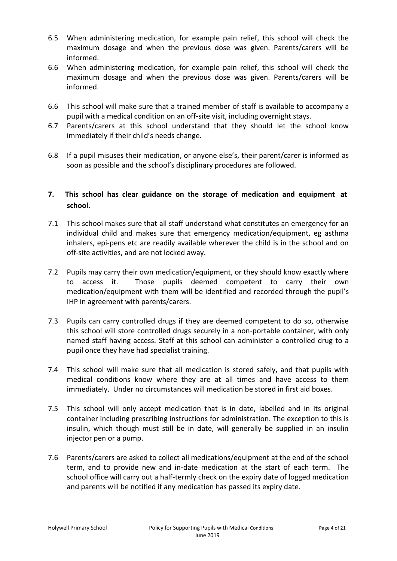- 6.5 When administering medication, for example pain relief, this school will check the maximum dosage and when the previous dose was given. Parents/carers will be informed.
- 6.6 When administering medication, for example pain relief, this school will check the maximum dosage and when the previous dose was given. Parents/carers will be informed.
- 6.6 This school will make sure that a trained member of staff is available to accompany a pupil with a medical condition on an off-site visit, including overnight stays.
- 6.7 Parents/carers at this school understand that they should let the school know immediately if their child's needs change.
- 6.8 If a pupil misuses their medication, or anyone else's, their parent/carer is informed as soon as possible and the school's disciplinary procedures are followed.

#### **7. This school has clear guidance on the storage of medication and equipment at school.**

- 7.1 This school makes sure that all staff understand what constitutes an emergency for an individual child and makes sure that emergency medication/equipment, eg asthma inhalers, epi-pens etc are readily available wherever the child is in the school and on off-site activities, and are not locked away.
- 7.2 Pupils may carry their own medication/equipment, or they should know exactly where to access it. Those pupils deemed competent to carry their own medication/equipment with them will be identified and recorded through the pupil's IHP in agreement with parents/carers.
- 7.3 Pupils can carry controlled drugs if they are deemed competent to do so, otherwise this school will store controlled drugs securely in a non-portable container, with only named staff having access. Staff at this school can administer a controlled drug to a pupil once they have had specialist training.
- 7.4 This school will make sure that all medication is stored safely, and that pupils with medical conditions know where they are at all times and have access to them immediately. Under no circumstances will medication be stored in first aid boxes.
- 7.5 This school will only accept medication that is in date, labelled and in its original container including prescribing instructions for administration. The exception to this is insulin, which though must still be in date, will generally be supplied in an insulin injector pen or a pump.
- 7.6 Parents/carers are asked to collect all medications/equipment at the end of the school term, and to provide new and in-date medication at the start of each term. The school office will carry out a half-termly check on the expiry date of logged medication and parents will be notified if any medication has passed its expiry date.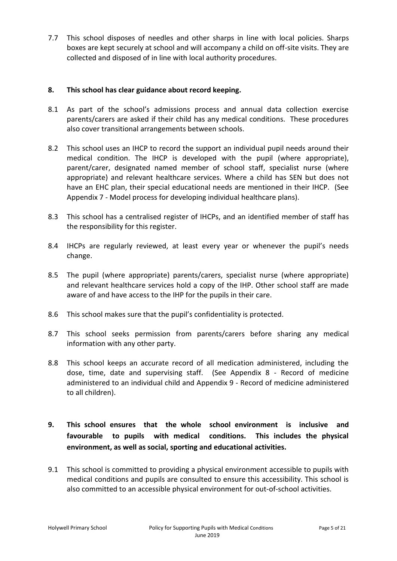7.7 This school disposes of needles and other sharps in line with local policies. Sharps boxes are kept securely at school and will accompany a child on off-site visits. They are collected and disposed of in line with local authority procedures.

#### **8. This school has clear guidance about record keeping.**

- 8.1 As part of the school's admissions process and annual data collection exercise parents/carers are asked if their child has any medical conditions. These procedures also cover transitional arrangements between schools.
- 8.2 This school uses an IHCP to record the support an individual pupil needs around their medical condition. The IHCP is developed with the pupil (where appropriate), parent/carer, designated named member of school staff, specialist nurse (where appropriate) and relevant healthcare services. Where a child has SEN but does not have an EHC plan, their special educational needs are mentioned in their IHCP. (See Appendix 7 - Model process for developing individual healthcare plans).
- 8.3 This school has a centralised register of IHCPs, and an identified member of staff has the responsibility for this register.
- 8.4 IHCPs are regularly reviewed, at least every year or whenever the pupil's needs change.
- 8.5 The pupil (where appropriate) parents/carers, specialist nurse (where appropriate) and relevant healthcare services hold a copy of the IHP. Other school staff are made aware of and have access to the IHP for the pupils in their care.
- 8.6 This school makes sure that the pupil's confidentiality is protected.
- 8.7 This school seeks permission from parents/carers before sharing any medical information with any other party.
- 8.8 This school keeps an accurate record of all medication administered, including the dose, time, date and supervising staff. (See Appendix 8 - Record of medicine administered to an individual child and Appendix 9 - Record of medicine administered to all children).
- **9. This school ensures that the whole school environment is inclusive and favourable to pupils with medical conditions. This includes the physical environment, as well as social, sporting and educational activities.**
- 9.1 This school is committed to providing a physical environment accessible to pupils with medical conditions and pupils are consulted to ensure this accessibility. This school is also committed to an accessible physical environment for out-of-school activities.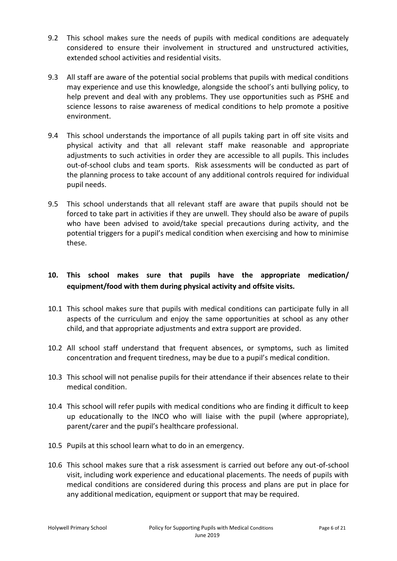- 9.2 This school makes sure the needs of pupils with medical conditions are adequately considered to ensure their involvement in structured and unstructured activities, extended school activities and residential visits.
- 9.3 All staff are aware of the potential social problems that pupils with medical conditions may experience and use this knowledge, alongside the school's anti bullying policy, to help prevent and deal with any problems. They use opportunities such as PSHE and science lessons to raise awareness of medical conditions to help promote a positive environment.
- 9.4 This school understands the importance of all pupils taking part in off site visits and physical activity and that all relevant staff make reasonable and appropriate adjustments to such activities in order they are accessible to all pupils. This includes out-of-school clubs and team sports. Risk assessments will be conducted as part of the planning process to take account of any additional controls required for individual pupil needs.
- 9.5 This school understands that all relevant staff are aware that pupils should not be forced to take part in activities if they are unwell. They should also be aware of pupils who have been advised to avoid/take special precautions during activity, and the potential triggers for a pupil's medical condition when exercising and how to minimise these.

### **10. This school makes sure that pupils have the appropriate medication/ equipment/food with them during physical activity and offsite visits.**

- 10.1 This school makes sure that pupils with medical conditions can participate fully in all aspects of the curriculum and enjoy the same opportunities at school as any other child, and that appropriate adjustments and extra support are provided.
- 10.2 All school staff understand that frequent absences, or symptoms, such as limited concentration and frequent tiredness, may be due to a pupil's medical condition.
- 10.3 This school will not penalise pupils for their attendance if their absences relate to their medical condition.
- 10.4 This school will refer pupils with medical conditions who are finding it difficult to keep up educationally to the INCO who will liaise with the pupil (where appropriate), parent/carer and the pupil's healthcare professional.
- 10.5 Pupils at this school learn what to do in an emergency.
- 10.6 This school makes sure that a risk assessment is carried out before any out-of-school visit, including work experience and educational placements. The needs of pupils with medical conditions are considered during this process and plans are put in place for any additional medication, equipment or support that may be required.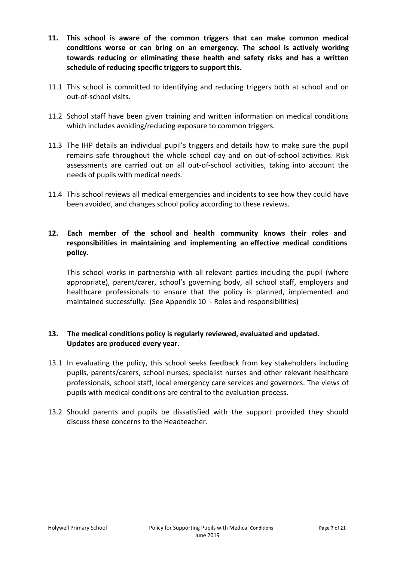- **11. This school is aware of the common triggers that can make common medical conditions worse or can bring on an emergency. The school is actively working towards reducing or eliminating these health and safety risks and has a written schedule of reducing specific triggers to support this.**
- 11.1 This school is committed to identifying and reducing triggers both at school and on out-of-school visits.
- 11.2 School staff have been given training and written information on medical conditions which includes avoiding/reducing exposure to common triggers.
- 11.3 The IHP details an individual pupil's triggers and details how to make sure the pupil remains safe throughout the whole school day and on out-of-school activities. Risk assessments are carried out on all out-of-school activities, taking into account the needs of pupils with medical needs.
- 11.4 This school reviews all medical emergencies and incidents to see how they could have been avoided, and changes school policy according to these reviews.
- **12. Each member of the school and health community knows their roles and responsibilities in maintaining and implementing an effective medical conditions policy.**

This school works in partnership with all relevant parties including the pupil (where appropriate), parent/carer, school's governing body, all school staff, employers and healthcare professionals to ensure that the policy is planned, implemented and maintained successfully. (See Appendix 10 - Roles and responsibilities)

#### **13. The medical conditions policy is regularly reviewed, evaluated and updated. Updates are produced every year.**

- 13.1 In evaluating the policy, this school seeks feedback from key stakeholders including pupils, parents/carers, school nurses, specialist nurses and other relevant healthcare professionals, school staff, local emergency care services and governors. The views of pupils with medical conditions are central to the evaluation process.
- 13.2 Should parents and pupils be dissatisfied with the support provided they should discuss these concerns to the Headteacher.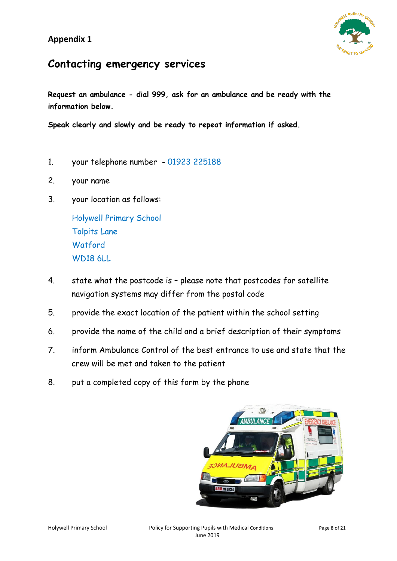

## **Contacting emergency services**

**Request an ambulance - dial 999, ask for an ambulance and be ready with the information below.**

**Speak clearly and slowly and be ready to repeat information if asked.**

- 1. your telephone number 01923 225188
- 2. your name
- 3. your location as follows:

Holywell Primary School Tolpits Lane **Watford** WD18 6LL

- 4. state what the postcode is please note that postcodes for satellite navigation systems may differ from the postal code
- 5. provide the exact location of the patient within the school setting
- 6. provide the name of the child and a brief description of their symptoms
- 7. inform Ambulance Control of the best entrance to use and state that the crew will be met and taken to the patient
- 8. put a completed copy of this form by the phone

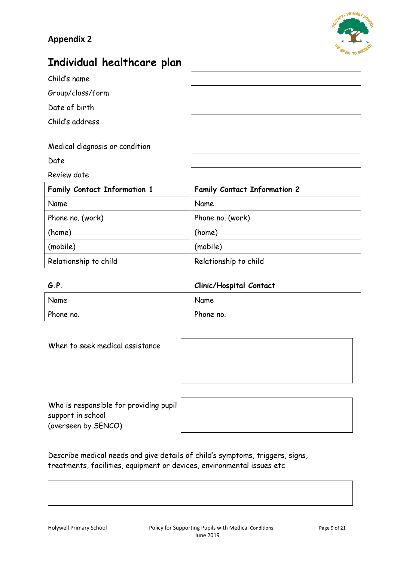

## **Individual healthcare plan**

| Child's name                        |                                     |
|-------------------------------------|-------------------------------------|
| Group/class/form                    |                                     |
| Date of birth                       |                                     |
| Child's address                     |                                     |
|                                     |                                     |
| Medical diagnosis or condition      |                                     |
| Date                                |                                     |
|                                     |                                     |
| Review date                         |                                     |
| <b>Family Contact Information 1</b> | <b>Family Contact Information 2</b> |
| Name                                | Name                                |
| Phone no. (work)                    | Phone no. (work)                    |
| (home)                              | (home)                              |
| (mobile)                            | (mobile)                            |

| G.P.      | <b>Clinic/Hospital Contact</b> |  |
|-----------|--------------------------------|--|
| Name      | Name                           |  |
| Phone no. | Phone no.                      |  |

| When to seek medical assistance |  |
|---------------------------------|--|
|                                 |  |
|                                 |  |
|                                 |  |
|                                 |  |

| Who is responsible for providing pupil |  |
|----------------------------------------|--|
| support in school                      |  |
| (overseen by SENCO)                    |  |

Describe medical needs and give details of child's symptoms, triggers, signs, treatments, facilities, equipment or devices, environmental issues etc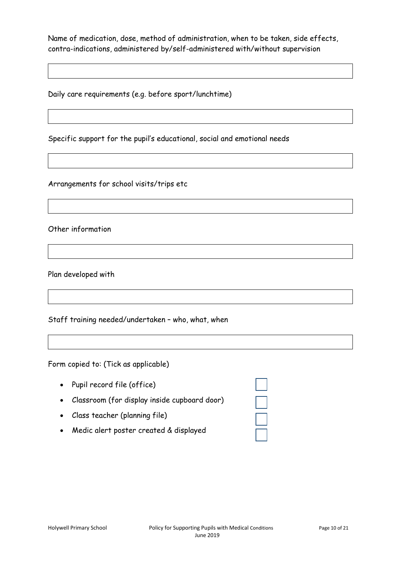Name of medication, dose, method of administration, when to be taken, side effects, contra-indications, administered by/self-administered with/without supervision

Daily care requirements (e.g. before sport/lunchtime)

Specific support for the pupil's educational, social and emotional needs

Arrangements for school visits/trips etc

Other information

Plan developed with

Staff training needed/undertaken – who, what, when

Form copied to: (Tick as applicable)

| • Pupil record file (office)                   | $\Box$  |
|------------------------------------------------|---------|
| • Classroom (for display inside cupboard door) | $\perp$ |
| • Class teacher (planning file)                | $\Box$  |

Medic alert poster created & displayed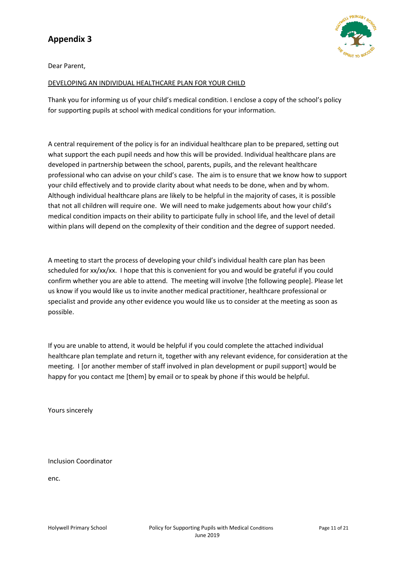Dear Parent,

#### DEVELOPING AN INDIVIDUAL HEALTHCARE PLAN FOR YOUR CHILD

Thank you for informing us of your child's medical condition. I enclose a copy of the school's policy for supporting pupils at school with medical conditions for your information.

A central requirement of the policy is for an individual healthcare plan to be prepared, setting out what support the each pupil needs and how this will be provided. Individual healthcare plans are developed in partnership between the school, parents, pupils, and the relevant healthcare professional who can advise on your child's case. The aim is to ensure that we know how to support your child effectively and to provide clarity about what needs to be done, when and by whom. Although individual healthcare plans are likely to be helpful in the majority of cases, it is possible that not all children will require one. We will need to make judgements about how your child's medical condition impacts on their ability to participate fully in school life, and the level of detail within plans will depend on the complexity of their condition and the degree of support needed.

A meeting to start the process of developing your child's individual health care plan has been scheduled for xx/xx/xx. I hope that this is convenient for you and would be grateful if you could confirm whether you are able to attend. The meeting will involve [the following people]. Please let us know if you would like us to invite another medical practitioner, healthcare professional or specialist and provide any other evidence you would like us to consider at the meeting as soon as possible.

If you are unable to attend, it would be helpful if you could complete the attached individual healthcare plan template and return it, together with any relevant evidence, for consideration at the meeting. I [or another member of staff involved in plan development or pupil support] would be happy for you contact me [them] by email or to speak by phone if this would be helpful.

Yours sincerely

Inclusion Coordinator

enc.

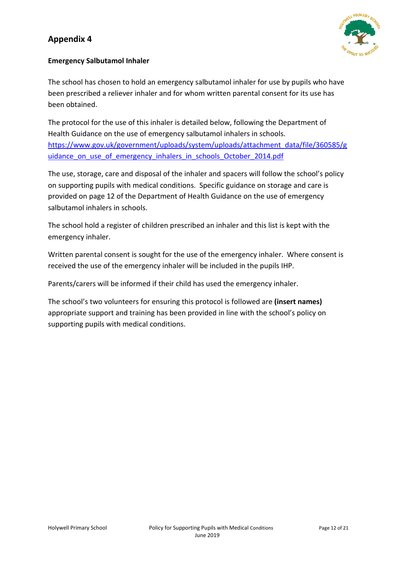

#### **Emergency Salbutamol Inhaler**

The school has chosen to hold an emergency salbutamol inhaler for use by pupils who have been prescribed a reliever inhaler and for whom written parental consent for its use has been obtained.

The protocol for the use of this inhaler is detailed below, following the Department of Health Guidance on the use of emergency salbutamol inhalers in schools. [https://www.gov.uk/government/uploads/system/uploads/attachment\\_data/file/360585/g](https://www.gov.uk/government/uploads/system/uploads/attachment_data/file/360585/guidance_on_use_of_emergency_inhalers_in_schools_October_2014.pdf) uidance on use of emergency inhalers in schools October 2014.pdf

The use, storage, care and disposal of the inhaler and spacers will follow the school's policy on supporting pupils with medical conditions. Specific guidance on storage and care is provided on page 12 of the Department of Health Guidance on the use of emergency salbutamol inhalers in schools.

The school hold a register of children prescribed an inhaler and this list is kept with the emergency inhaler.

Written parental consent is sought for the use of the emergency inhaler. Where consent is received the use of the emergency inhaler will be included in the pupils IHP.

Parents/carers will be informed if their child has used the emergency inhaler.

The school's two volunteers for ensuring this protocol is followed are **(insert names)**  appropriate support and training has been provided in line with the school's policy on supporting pupils with medical conditions.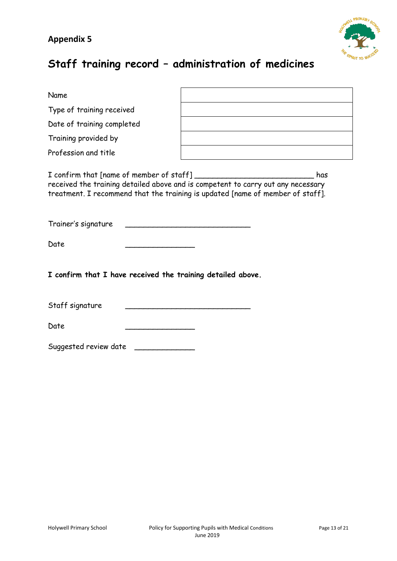

## **Staff training record – administration of medicines**

| Name                                                                                                                                                                      |  |  |  |
|---------------------------------------------------------------------------------------------------------------------------------------------------------------------------|--|--|--|
| Type of training received                                                                                                                                                 |  |  |  |
| Date of training completed                                                                                                                                                |  |  |  |
| Training provided by                                                                                                                                                      |  |  |  |
| Profession and title                                                                                                                                                      |  |  |  |
| has<br>received the training detailed above and is competent to carry out any necessary<br>treatment. I recommend that the training is updated [name of member of staff]. |  |  |  |
| Trainer's signature                                                                                                                                                       |  |  |  |
| Date                                                                                                                                                                      |  |  |  |
| I confirm that I have received the training detailed above.                                                                                                               |  |  |  |
| Staff signature                                                                                                                                                           |  |  |  |
| Date                                                                                                                                                                      |  |  |  |
| Suggested review date                                                                                                                                                     |  |  |  |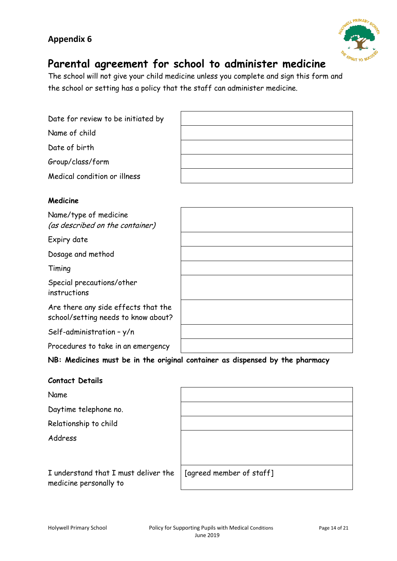

## **Parental agreement for school to administer medicine**

The school will not give your child medicine unless you complete and sign this form and the school or setting has a policy that the staff can administer medicine.

Date for review to be initiated by

Name of child

Date of birth

Group/class/form

Medical condition or illness

#### **Medicine**

Name/type of medicine (as described on the container)

Expiry date

Dosage and method

Timing

Special precautions/other instructions

Are there any side effects that the school/setting needs to know about?

Self-administration – y/n

Procedures to take in an emergency

**NB: Medicines must be in the original container as dispensed by the pharmacy**

#### **Contact Details**

Name

Daytime telephone no.

Relationship to child

Address

I understand that I must deliver the medicine personally to

| [agreed member of staff] |
|--------------------------|
|                          |
|                          |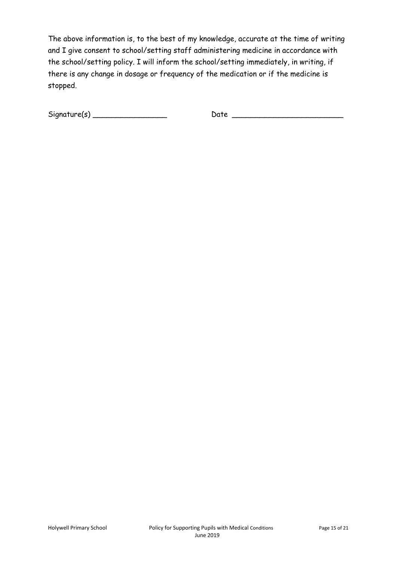The above information is, to the best of my knowledge, accurate at the time of writing and I give consent to school/setting staff administering medicine in accordance with the school/setting policy. I will inform the school/setting immediately, in writing, if there is any change in dosage or frequency of the medication or if the medicine is stopped.

 $Signature(s)$   $\rule{1em}{0.15mm}$   $\rule{1.15mm}{0.15mm}$   $\qquad$   $Date$   $\rule{1.15mm}{0.15mm}$   $\qquad$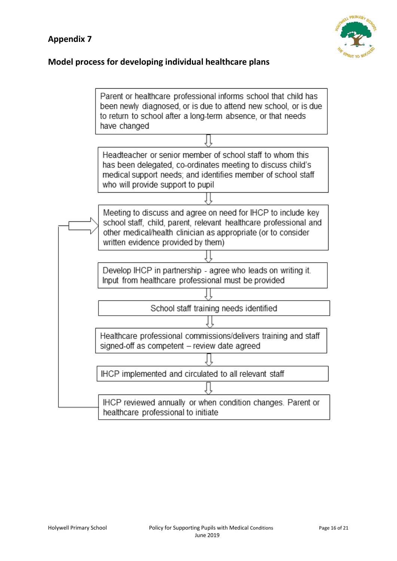

### **Model process for developing individual healthcare plans**

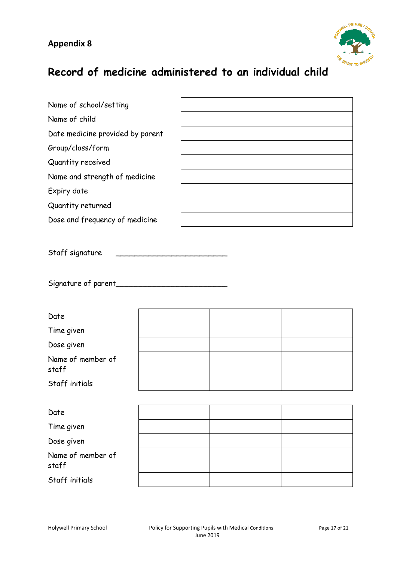

## **Record of medicine administered to an individual child**

| Name of school/setting |  |
|------------------------|--|
|------------------------|--|

Name of child

Date medicine provided by parent

Group/class/form

Quantity received

Name and strength of medicine

Expiry date

Quantity returned

Dose and frequency of medicine

Staff signature

Signature of parent\_\_\_\_\_\_\_\_\_\_\_\_\_\_\_\_\_\_\_\_\_\_\_\_

| Date                       |  |  |
|----------------------------|--|--|
| Time given                 |  |  |
| Dose given                 |  |  |
| Name of member of<br>staff |  |  |
| Staff initials             |  |  |
|                            |  |  |
| Date                       |  |  |
| Time given                 |  |  |
| Dose given                 |  |  |
| Name of member of<br>staff |  |  |
| Staff initials             |  |  |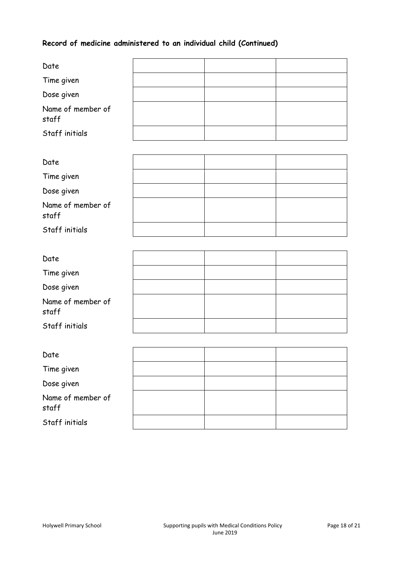### **Record of medicine administered to an individual child (Continued)**

| Date                       |  |  |  |
|----------------------------|--|--|--|
| Time given                 |  |  |  |
| Dose given                 |  |  |  |
| Name of member of<br>staff |  |  |  |
| Staff initials             |  |  |  |
|                            |  |  |  |
| Date                       |  |  |  |
| Time given                 |  |  |  |
| Dose given                 |  |  |  |
| Name of member of<br>staff |  |  |  |
| Staff initials             |  |  |  |
|                            |  |  |  |
| Date                       |  |  |  |
| Time given                 |  |  |  |
| Dose given                 |  |  |  |
| Name of member of<br>staff |  |  |  |
| Staff initials             |  |  |  |
|                            |  |  |  |
| Date                       |  |  |  |
| Time given                 |  |  |  |
| Dose given                 |  |  |  |
| Name of member of<br>staff |  |  |  |
| Staff initials             |  |  |  |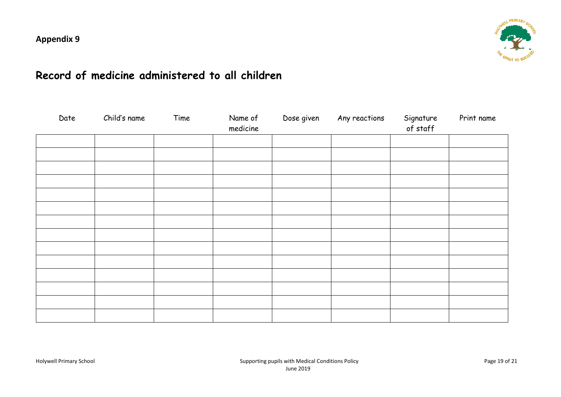

## **Record of medicine administered to all children**

| Date | Child's name | Time | Name of<br>medicine | Dose given | Any reactions | Signature<br>of staff | Print name |
|------|--------------|------|---------------------|------------|---------------|-----------------------|------------|
|      |              |      |                     |            |               |                       |            |
|      |              |      |                     |            |               |                       |            |
|      |              |      |                     |            |               |                       |            |
|      |              |      |                     |            |               |                       |            |
|      |              |      |                     |            |               |                       |            |
|      |              |      |                     |            |               |                       |            |
|      |              |      |                     |            |               |                       |            |
|      |              |      |                     |            |               |                       |            |
|      |              |      |                     |            |               |                       |            |
|      |              |      |                     |            |               |                       |            |
|      |              |      |                     |            |               |                       |            |
|      |              |      |                     |            |               |                       |            |
|      |              |      |                     |            |               |                       |            |
|      |              |      |                     |            |               |                       |            |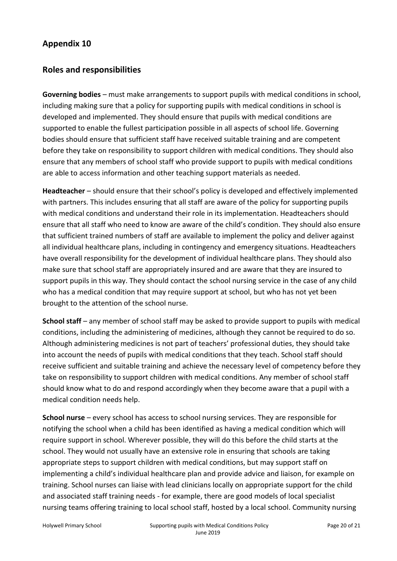### **Roles and responsibilities**

**Governing bodies** – must make arrangements to support pupils with medical conditions in school, including making sure that a policy for supporting pupils with medical conditions in school is developed and implemented. They should ensure that pupils with medical conditions are supported to enable the fullest participation possible in all aspects of school life. Governing bodies should ensure that sufficient staff have received suitable training and are competent before they take on responsibility to support children with medical conditions. They should also ensure that any members of school staff who provide support to pupils with medical conditions are able to access information and other teaching support materials as needed.

**Headteacher** – should ensure that their school's policy is developed and effectively implemented with partners. This includes ensuring that all staff are aware of the policy for supporting pupils with medical conditions and understand their role in its implementation. Headteachers should ensure that all staff who need to know are aware of the child's condition. They should also ensure that sufficient trained numbers of staff are available to implement the policy and deliver against all individual healthcare plans, including in contingency and emergency situations. Headteachers have overall responsibility for the development of individual healthcare plans. They should also make sure that school staff are appropriately insured and are aware that they are insured to support pupils in this way. They should contact the school nursing service in the case of any child who has a medical condition that may require support at school, but who has not yet been brought to the attention of the school nurse.

**School staff** – any member of school staff may be asked to provide support to pupils with medical conditions, including the administering of medicines, although they cannot be required to do so. Although administering medicines is not part of teachers' professional duties, they should take into account the needs of pupils with medical conditions that they teach. School staff should receive sufficient and suitable training and achieve the necessary level of competency before they take on responsibility to support children with medical conditions. Any member of school staff should know what to do and respond accordingly when they become aware that a pupil with a medical condition needs help.

**School nurse** – every school has access to school nursing services. They are responsible for notifying the school when a child has been identified as having a medical condition which will require support in school. Wherever possible, they will do this before the child starts at the school. They would not usually have an extensive role in ensuring that schools are taking appropriate steps to support children with medical conditions, but may support staff on implementing a child's individual healthcare plan and provide advice and liaison, for example on training. School nurses can liaise with lead clinicians locally on appropriate support for the child and associated staff training needs - for example, there are good models of local specialist nursing teams offering training to local school staff, hosted by a local school. Community nursing